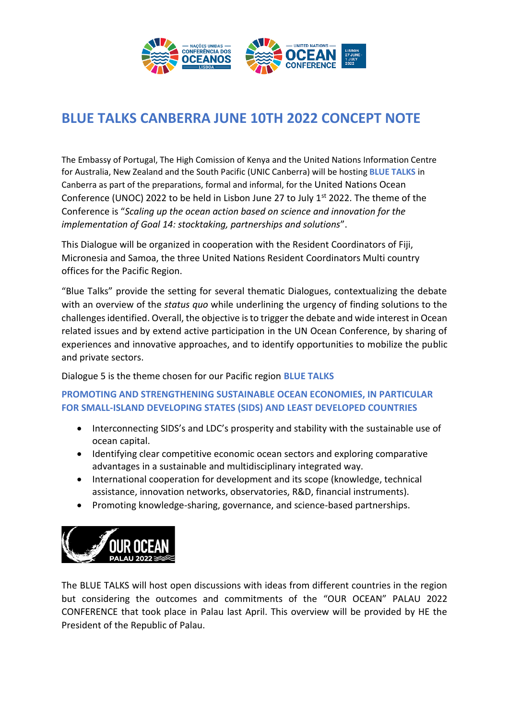

# **BLUE TALKS CANBERRA JUNE 10TH 2022 CONCEPT NOTE**

The Embassy of Portugal, The High Comission of Kenya and the United Nations Information Centre for Australia, New Zealand and the South Pacific (UNIC Canberra) will be hosting **BLUE TALKS** in Canberra as part of the preparations, formal and informal, for the United Nations Ocean Conference (UNOC) 2022 to be held in Lisbon June 27 to July  $1<sup>st</sup>$  2022. The theme of the Conference is "*Scaling up the ocean action based on science and innovation for the implementation of Goal 14: stocktaking, partnerships and solutions*".

This Dialogue will be organized in cooperation with the Resident Coordinators of Fiji, Micronesia and Samoa, the three United Nations Resident Coordinators Multi country offices for the Pacific Region.

"Blue Talks" provide the setting for several thematic Dialogues, contextualizing the debate with an overview of the *status quo* while underlining the urgency of finding solutions to the challenges identified. Overall, the objective is to trigger the debate and wide interest in Ocean related issues and by extend active participation in the UN Ocean Conference, by sharing of experiences and innovative approaches, and to identify opportunities to mobilize the public and private sectors.

Dialogue 5 is the theme chosen for our Pacific region **BLUE TALKS**

### **PROMOTING AND STRENGTHENING SUSTAINABLE OCEAN ECONOMIES, IN PARTICULAR FOR SMALL-ISLAND DEVELOPING STATES (SIDS) AND LEAST DEVELOPED COUNTRIES**

- Interconnecting SIDS's and LDC's prosperity and stability with the sustainable use of ocean capital.
- Identifying clear competitive economic ocean sectors and exploring comparative advantages in a sustainable and multidisciplinary integrated way.
- International cooperation for development and its scope (knowledge, technical assistance, innovation networks, observatories, R&D, financial instruments).
- Promoting knowledge-sharing, governance, and science-based partnerships.



The BLUE TALKS will host open discussions with ideas from different countries in the region but considering the outcomes and commitments of the "OUR OCEAN" PALAU 2022 CONFERENCE that took place in Palau last April. This overview will be provided by HE the President of the Republic of Palau.